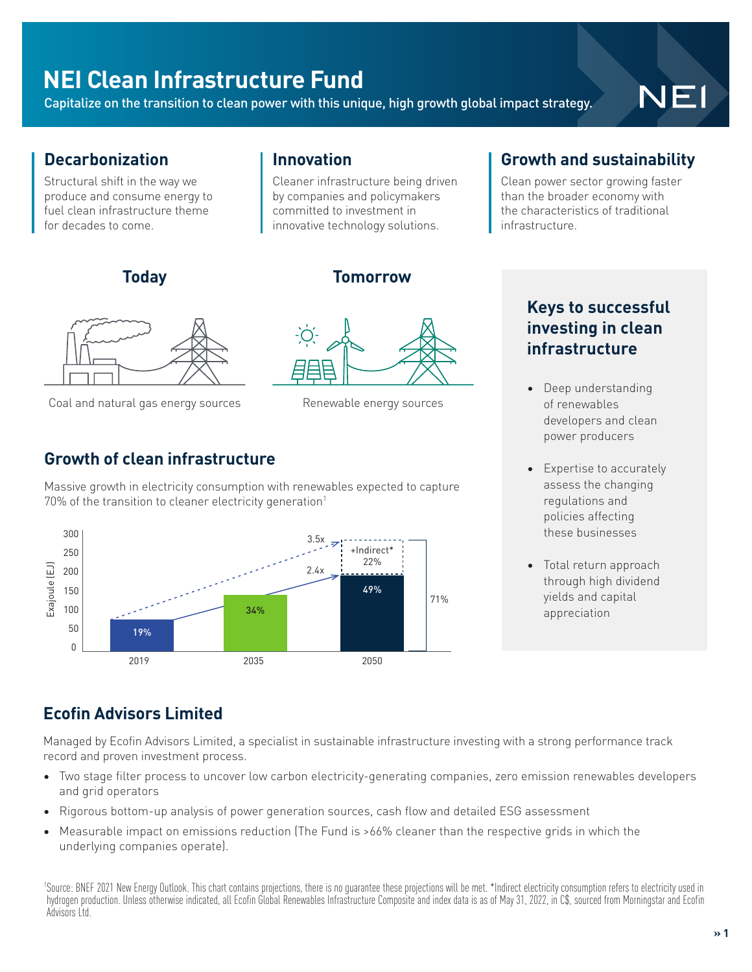## **NEI Clean Infrastructure Fund**

Capitalize on the transition to clean power with this unique, high growth global impact strategy.

**Innovation** 

# NEI

#### **Decarbonization**

Structural shift in the way we produce and consume energy to fuel clean infrastructure theme for decades to come.

#### **Today Tomorrow**



Coal and natural gas energy sources Renewable energy sources

Cleaner infrastructure being driven by companies and policymakers committed to investment in innovative technology solutions.

#### **Growth of clean infrastructure**

Massive growth in electricity consumption with renewables expected to capture 70% of the transition to cleaner electricity generation<sup>1</sup>



#### **Growth and sustainability**

Clean power sector growing faster than the broader economy with the characteristics of traditional infrastructure.

#### **Keys to successful investing in clean infrastructure**

- Deep understanding of renewables developers and clean power producers
- **Expertise to accurately** assess the changing regulations and policies affecting these businesses
- Total return approach through high dividend yields and capital appreciation

### **Ecofin Advisors Limited**

Managed by Ecofin Advisors Limited, a specialist in sustainable infrastructure investing with a strong performance track record and proven investment process.

- Two stage filter process to uncover low carbon electricity-generating companies, zero emission renewables developers and grid operators
- Rigorous bottom-up analysis of power generation sources, cash flow and detailed ESG assessment
- Measurable impact on emissions reduction (The Fund is >66% cleaner than the respective grids in which the underlying companies operate).

1 Source: BNEF 2021 New Energy Outlook. This chart contains projections, there is no guarantee these projections will be met. \*Indirect electricity consumption refers to electricity used in hydrogen production. Unless otherwise indicated, all Ecofin Global Renewables Infrastructure Composite and index data is as of May 31, 2022, in C\$, sourced from Morningstar and Ecofin Advisors Ltd.